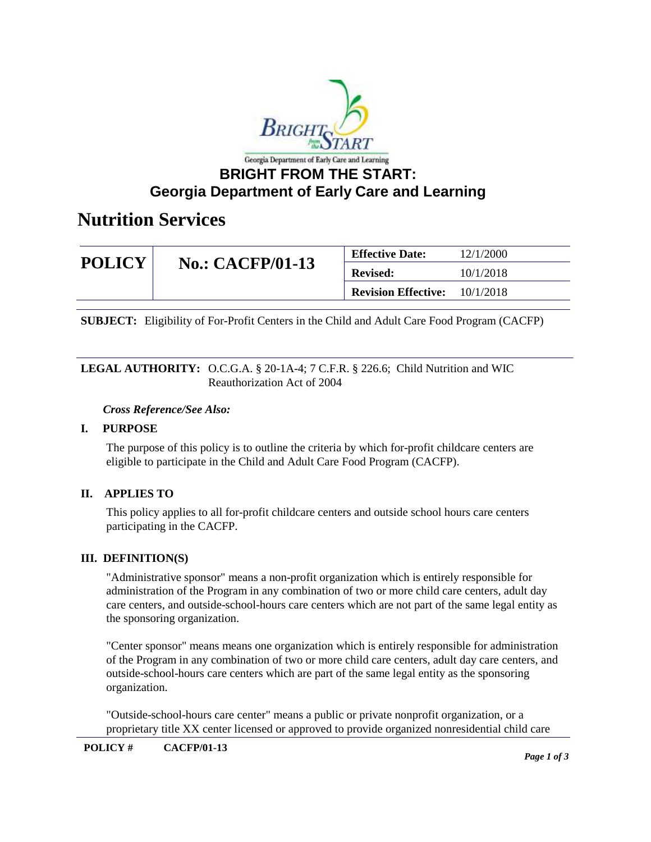

## **Nutrition Services**

| <b>POLICY</b> | <b>No.: CACFP/01-13</b> | <b>Effective Date:</b>     | 12/1/2000 |
|---------------|-------------------------|----------------------------|-----------|
|               |                         | <b>Revised:</b>            | 10/1/2018 |
|               |                         | <b>Revision Effective:</b> | 10/1/2018 |

**SUBJECT:** Eligibility of For-Profit Centers in the Child and Adult Care Food Program (CACFP)

#### **LEGAL AUTHORITY:** O.C.G.A. § 20-1A-4; 7 C.F.R. § 226.6; Child Nutrition and WIC Reauthorization Act of 2004

#### *Cross Reference/See Also:*

### **I. PURPOSE**

The purpose of this policy is to outline the criteria by which for-profit childcare centers are eligible to participate in the Child and Adult Care Food Program (CACFP).

### **II. APPLIES TO**

This policy applies to all for-profit childcare centers and outside school hours care centers participating in the CACFP.

### **III. DEFINITION(S)**

"Administrative sponsor" means a non-profit organization which is entirely responsible for administration of the Program in any combination of two or more child care centers, adult day care centers, and outside-school-hours care centers which are not part of the same legal entity as the sponsoring organization.

"Center sponsor" means means one organization which is entirely responsible for administration of the Program in any combination of two or more child care centers, adult day care centers, and outside-school-hours care centers which are part of the same legal entity as the sponsoring organization.

"Outside-school-hours care center" means a public or private nonprofit organization, or a proprietary title XX center licensed or approved to provide organized nonresidential child care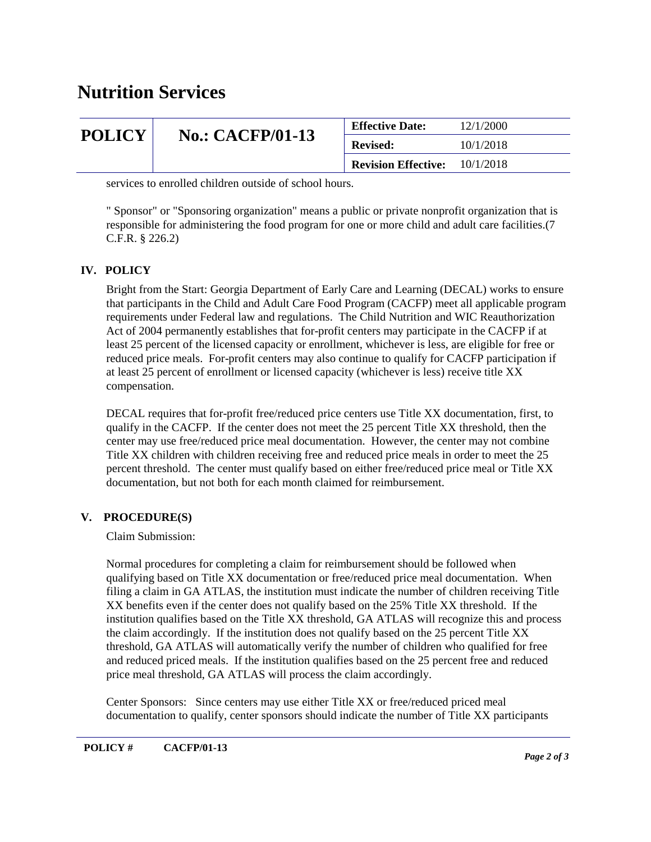## **Nutrition Services**

| <b>POLICY</b> | <b>No.: CACFP/01-13</b> | <b>Effective Date:</b>     | 12/1/2000 |
|---------------|-------------------------|----------------------------|-----------|
|               |                         | <b>Revised:</b>            | 10/1/2018 |
|               |                         | <b>Revision Effective:</b> | 10/1/2018 |

services to enrolled children outside of school hours.

" Sponsor" or "Sponsoring organization" means a public or private nonprofit organization that is responsible for administering the food program for one or more child and adult care facilities.(7 C.F.R. § 226.2)

### **IV. POLICY**

Bright from the Start: Georgia Department of Early Care and Learning (DECAL) works to ensure that participants in the Child and Adult Care Food Program (CACFP) meet all applicable program requirements under Federal law and regulations. The Child Nutrition and WIC Reauthorization Act of 2004 permanently establishes that for-profit centers may participate in the CACFP if at least 25 percent of the licensed capacity or enrollment, whichever is less, are eligible for free or reduced price meals. For-profit centers may also continue to qualify for CACFP participation if at least 25 percent of enrollment or licensed capacity (whichever is less) receive title XX compensation.

DECAL requires that for-profit free/reduced price centers use Title XX documentation, first, to qualify in the CACFP. If the center does not meet the 25 percent Title XX threshold, then the center may use free/reduced price meal documentation. However, the center may not combine Title XX children with children receiving free and reduced price meals in order to meet the 25 percent threshold. The center must qualify based on either free/reduced price meal or Title XX documentation, but not both for each month claimed for reimbursement.

### **V. PROCEDURE(S)**

Claim Submission:

Normal procedures for completing a claim for reimbursement should be followed when qualifying based on Title XX documentation or free/reduced price meal documentation. When filing a claim in GA ATLAS, the institution must indicate the number of children receiving Title XX benefits even if the center does not qualify based on the 25% Title XX threshold. If the institution qualifies based on the Title XX threshold, GA ATLAS will recognize this and process the claim accordingly. If the institution does not qualify based on the 25 percent Title XX threshold, GA ATLAS will automatically verify the number of children who qualified for free and reduced priced meals. If the institution qualifies based on the 25 percent free and reduced price meal threshold, GA ATLAS will process the claim accordingly.

Center Sponsors: Since centers may use either Title XX or free/reduced priced meal documentation to qualify, center sponsors should indicate the number of Title XX participants